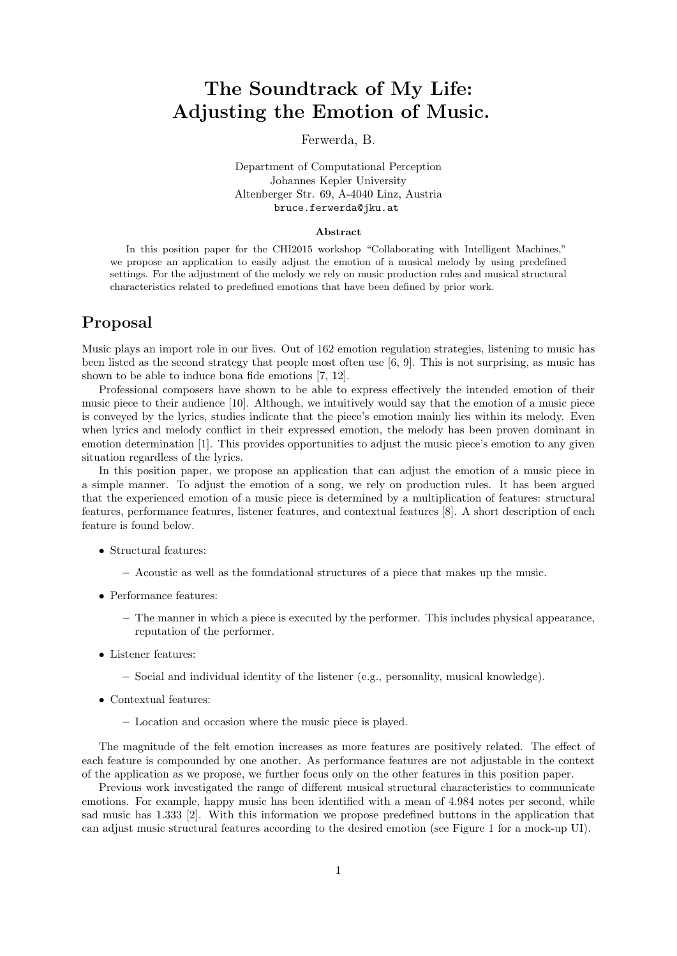# The Soundtrack of My Life: Adjusting the Emotion of Music.

Ferwerda, B.

#### Department of Computational Perception Johannes Kepler University Altenberger Str. 69, A-4040 Linz, Austria <bruce.ferwerda@jku.at>

#### Abstract

In this position paper for the CHI2015 workshop "Collaborating with Intelligent Machines," we propose an application to easily adjust the emotion of a musical melody by using predefined settings. For the adjustment of the melody we rely on music production rules and musical structural characteristics related to predefined emotions that have been defined by prior work.

## Proposal

Music plays an import role in our lives. Out of 162 emotion regulation strategies, listening to music has been listed as the second strategy that people most often use [\[6,](#page-2-0) [9\]](#page-2-1). This is not surprising, as music has shown to be able to induce bona fide emotions [\[7,](#page-2-2) [12\]](#page-2-3).

Professional composers have shown to be able to express effectively the intended emotion of their music piece to their audience [\[10\]](#page-2-4). Although, we intuitively would say that the emotion of a music piece is conveyed by the lyrics, studies indicate that the piece's emotion mainly lies within its melody. Even when lyrics and melody conflict in their expressed emotion, the melody has been proven dominant in emotion determination [\[1\]](#page-2-5). This provides opportunities to adjust the music piece's emotion to any given situation regardless of the lyrics.

In this position paper, we propose an application that can adjust the emotion of a music piece in a simple manner. To adjust the emotion of a song, we rely on production rules. It has been argued that the experienced emotion of a music piece is determined by a multiplication of features: structural features, performance features, listener features, and contextual features [\[8\]](#page-2-6). A short description of each feature is found below.

- Structural features:
	- Acoustic as well as the foundational structures of a piece that makes up the music.
- Performance features:
	- The manner in which a piece is executed by the performer. This includes physical appearance, reputation of the performer.
- Listener features:
	- Social and individual identity of the listener (e.g., personality, musical knowledge).
- Contextual features:
	- Location and occasion where the music piece is played.

The magnitude of the felt emotion increases as more features are positively related. The effect of each feature is compounded by one another. As performance features are not adjustable in the context of the application as we propose, we further focus only on the other features in this position paper.

Previous work investigated the range of different musical structural characteristics to communicate emotions. For example, happy music has been identified with a mean of 4.984 notes per second, while sad music has 1.333 [\[2\]](#page-2-7). With this information we propose predefined buttons in the application that can adjust music structural features according to the desired emotion (see Figure [1](#page-1-0) for a mock-up UI).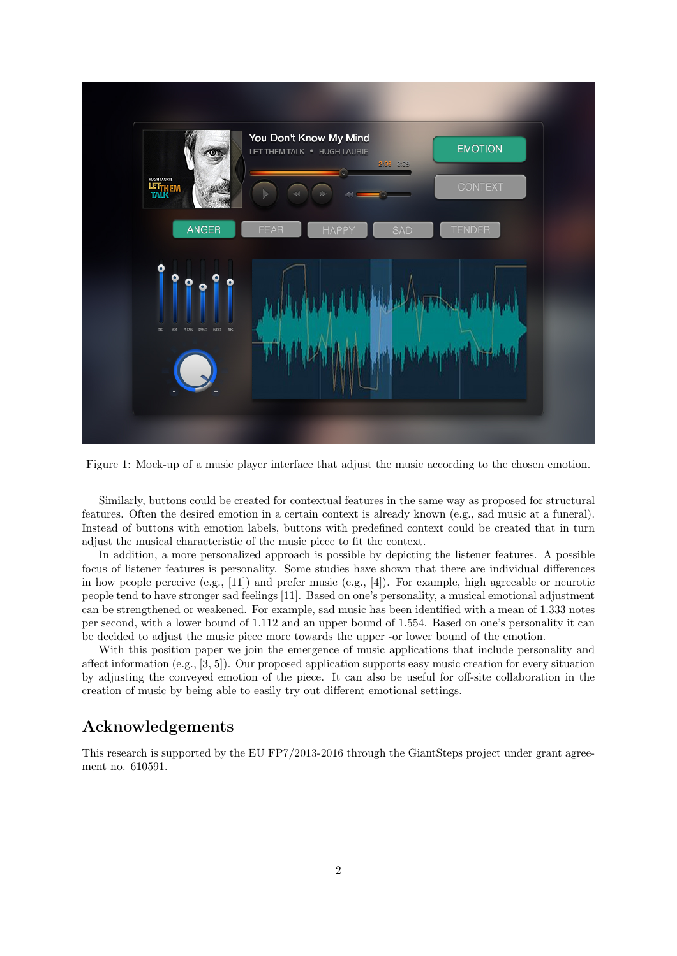

<span id="page-1-0"></span>Figure 1: Mock-up of a music player interface that adjust the music according to the chosen emotion.

Similarly, buttons could be created for contextual features in the same way as proposed for structural features. Often the desired emotion in a certain context is already known (e.g., sad music at a funeral). Instead of buttons with emotion labels, buttons with predefined context could be created that in turn adjust the musical characteristic of the music piece to fit the context.

In addition, a more personalized approach is possible by depicting the listener features. A possible focus of listener features is personality. Some studies have shown that there are individual differences in how people perceive (e.g.,  $[11]$ ) and prefer music (e.g.,  $[4]$ ). For example, high agreeable or neurotic people tend to have stronger sad feelings [\[11\]](#page-2-8). Based on one's personality, a musical emotional adjustment can be strengthened or weakened. For example, sad music has been identified with a mean of 1.333 notes per second, with a lower bound of 1.112 and an upper bound of 1.554. Based on one's personality it can be decided to adjust the music piece more towards the upper -or lower bound of the emotion.

With this position paper we join the emergence of music applications that include personality and affect information (e.g., [\[3,](#page-2-10) [5\]](#page-2-11)). Our proposed application supports easy music creation for every situation by adjusting the conveyed emotion of the piece. It can also be useful for off-site collaboration in the creation of music by being able to easily try out different emotional settings.

### Acknowledgements

This research is supported by the EU FP7/2013-2016 through the GiantSteps project under grant agreement no. 610591.